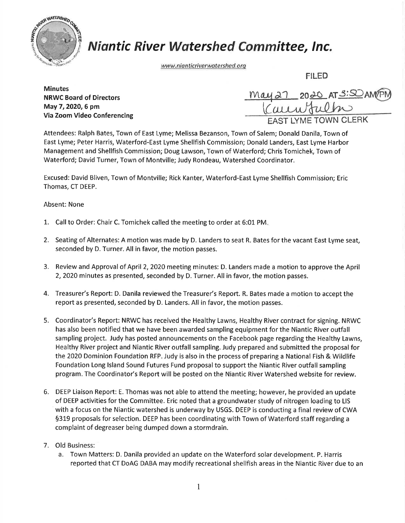

## **Niantic River Watershed Committee, Inc.**

www.nianticriverwatershed.org

FILED

**Minutes** NRWC Board of Directors May 7,2O2O,6 pm Via Zoom Video Conferencing

| may 27 2020 AT 3:50 AMPM    |
|-----------------------------|
| <b>EAST LYME TOWN CLERK</b> |

Attendees: Ralph Bates, Town of East Lyme; Melissa Bezanson, Town of Salem; Donald Danila, Town of East Lyme; Peter Harris, Waterford-East Lyme Shellfish Commission; Donald Landers, East Lyme Harbor Management and Shellfish Commission; Doug Lawson, Town of Waterford; Chris Tomichek, Town of Waterford; David Turner, Town of Montville; Judy Rondeau, Watershed Coordinator.

Excused: David Bliven, Town of Montville; Rick Kanter, Waterford-East Lyme Shellfish Commission; Eric Thomas, CT DEEP.

Absent: None

- 1.. Call to Order: Chair C. Tomichek called the meeting to order at 6:01 PM
- 2. Seating of Alternates: A motion was made by D. Landers to seat R. Bates for the vacant East Lyme seat, seconded by D. Turner. All in favor, the motion passes.
- 3. Review and Approval of April 2, 2020 meeting minutes: D. Landers made a motion to approve the April 2,2020 minutes as presented, seconded by D. Turner. All in favor, the motion passes.
- 4. Treasurer's Report: D. Danila reviewed the Treasurer's Report. R. Bates made a motion to accept the report as presented, seconded by D. Landers. All in favor, the motion passes.
- 5. Coordinator's Report: NRWC has received the Healthy Lawns, Healthy River contract for signing. NRWC has also been notified that we have been awarded sampling equipment for the Niantic River outfall sampling project. Judy has posted announcements on the Facebook page regarding the Healthy Lawns, Healthy River project and Niantic River outfall sampling. Judy prepared and submitted the proposal for the 2020 Dominion Foundation RFP. Judy is also in the process of preparing a National Fish & Wildlife Foundation Long lsland Sound Futures Fund proposal to support the Niantic River outfall sampling program. The Coordinator's Report will be posted on the Niantic River Watershed website for review.
- 6. DEEP Liaison Report: E. Thomas was not able to attend the meeting; however, he provided an update of DEEP activities for the Committee. Eric noted that a groundwater study of nitrogen loading to LIS with a focus on the Niantic watershed is underway by USGS. DEEP is conducting a final review of CWA \$319 proposals for selection. DEEP has been coordinating with Town of Waterford staff regarding <sup>a</sup> complaint of degreaser being dumped down a stormdrain.
- 7. Old Business:
	- a. Town Matters: D. Danila provided an update on the Waterford solar development. P. Harris reported that CT DoAG DABA may modify recreational shellfish areas in the Niantic River due to an